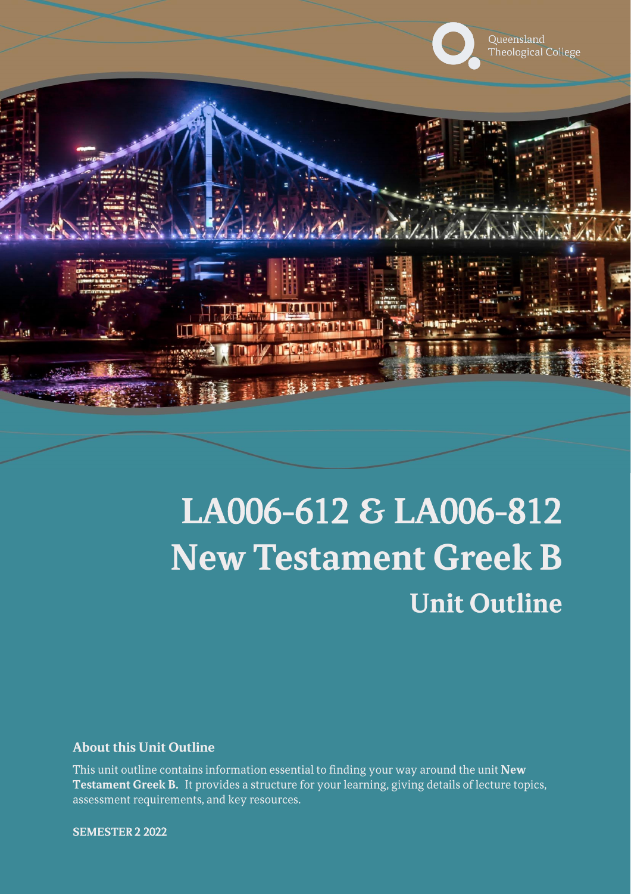

# LA006-612 & LA006-812 **New Testament Greek B Unit Outline**

### **About this Unit Outline**

This unit outline contains information essential to finding your way around the unit New Testament Greek B. It provides a structure for your learning, giving details of lecture topics, assessment requirements, and key resources.

**SEMESTER 2 2022**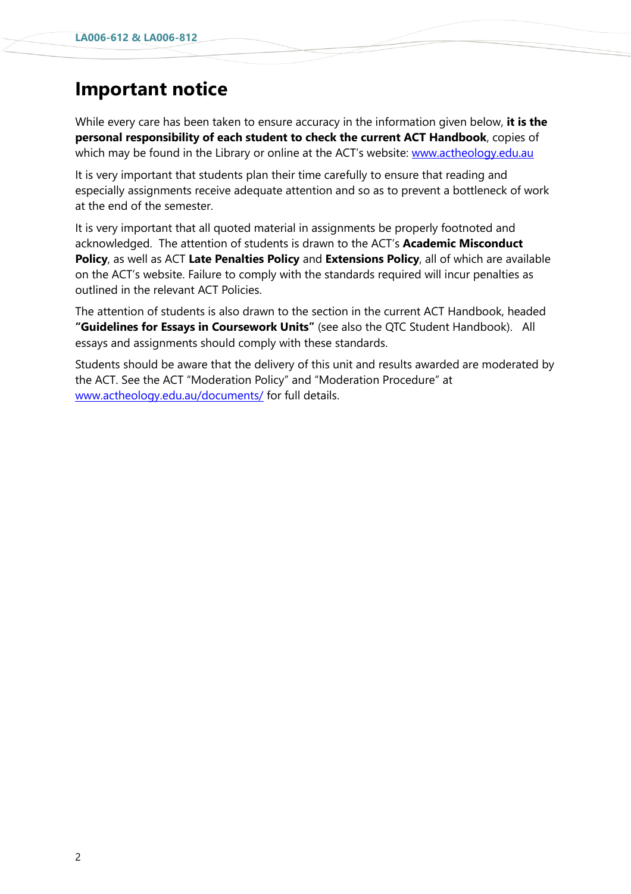# **Important notice**

While every care has been taken to ensure accuracy in the information given below, **it is the personal responsibility of each student to check the current ACT Handbook**, copies of which may be found in the Library or online at the ACT's website: [www.actheology.edu.au](http://www.actheology.edu.au/)

It is very important that students plan their time carefully to ensure that reading and especially assignments receive adequate attention and so as to prevent a bottleneck of work at the end of the semester.

It is very important that all quoted material in assignments be properly footnoted and acknowledged. The attention of students is drawn to the ACT's **Academic Misconduct Policy**, as well as ACT **Late Penalties Policy** and **Extensions Policy**, all of which are available on the ACT's website. Failure to comply with the standards required will incur penalties as outlined in the relevant ACT Policies.

The attention of students is also drawn to the section in the current ACT Handbook, headed **"Guidelines for Essays in Coursework Units"** (see also the QTC Student Handbook). All essays and assignments should comply with these standards.

Students should be aware that the delivery of this unit and results awarded are moderated by the ACT. See the ACT "Moderation Policy" and "Moderation Procedure" at [www.actheology.edu.au/documents/](http://www.actheology.edu.au/documents/) for full details.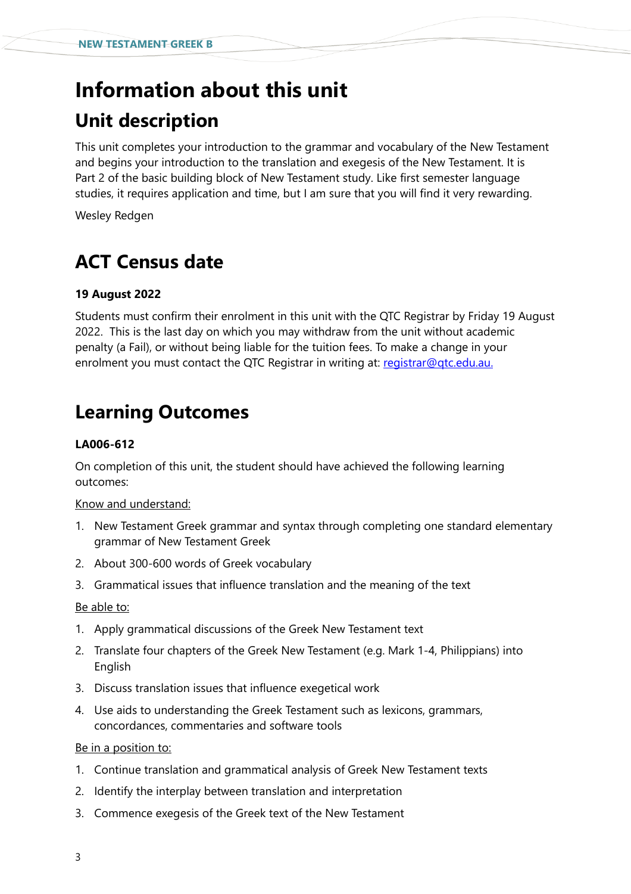# **Information about this unit Unit description**

This unit completes your introduction to the grammar and vocabulary of the New Testament and begins your introduction to the translation and exegesis of the New Testament. It is Part 2 of the basic building block of New Testament study. Like first semester language studies, it requires application and time, but I am sure that you will find it very rewarding.

Wesley Redgen

# **ACT Census date**

### **19 August 2022**

Students must confirm their enrolment in this unit with the QTC Registrar by Friday 19 August 2022. This is the last day on which you may withdraw from the unit without academic penalty (a Fail), or without being liable for the tuition fees. To make a change in your enrolment you must contact the QTC Registrar in writing at: [registrar@qtc.edu.au.](mailto:registrar@qtc.edu.au)

# **Learning Outcomes**

#### **LA006-612**

On completion of this unit, the student should have achieved the following learning outcomes:

#### Know and understand:

- 1. New Testament Greek grammar and syntax through completing one standard elementary grammar of New Testament Greek
- 2. About 300-600 words of Greek vocabulary
- 3. Grammatical issues that influence translation and the meaning of the text

#### Be able to:

- 1. Apply grammatical discussions of the Greek New Testament text
- 2. Translate four chapters of the Greek New Testament (e.g. Mark 1-4, Philippians) into English
- 3. [Discuss](https://www.actheology.edu.au/unit/LA006-612/#discuss) translation issues that influence exegetical work
- 4. Use aids to understanding the Greek Testament such as lexicons, grammars, concordances, commentaries and software tools

#### Be in a position to:

- 1. Continue translation and grammatical analysis of Greek New Testament texts
- 2. [Identify](https://www.actheology.edu.au/unit/LA006-612/#identify) the interplay between translation and interpretation
- 3. Commence exegesis of the Greek text of the New Testament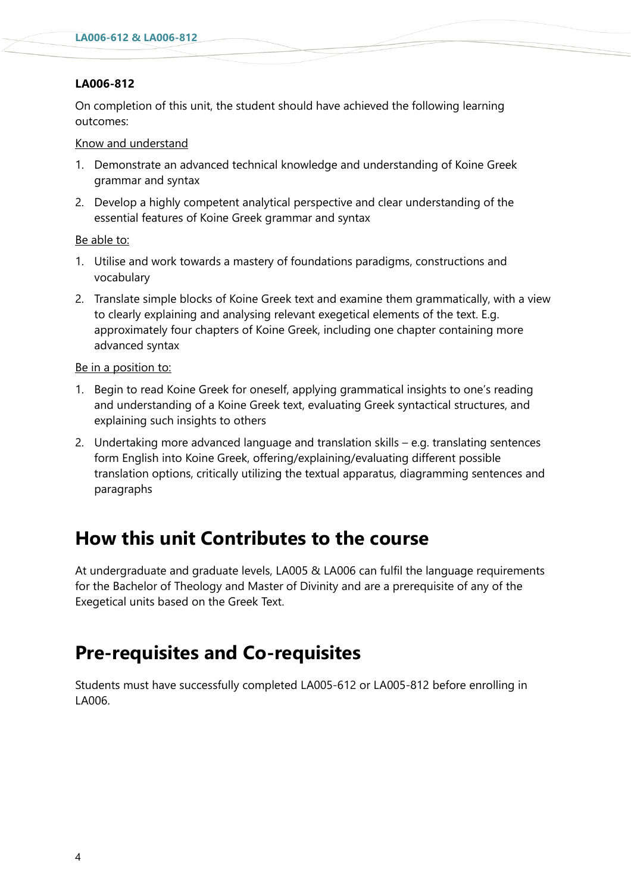### **LA006-812**

On completion of this unit, the student should have achieved the following learning outcomes:

#### Know and understand

- 1. Demonstrate an advanced technical knowledge and understanding of Koine Greek grammar and syntax
- 2. Develop a highly competent analytical perspective and clear understanding of the essential features of Koine Greek grammar and syntax

#### Be able to:

- 1. Utilise and work towards a mastery of foundations paradigms, constructions and vocabulary
- 2. Translate simple blocks of Koine Greek text and examine them grammatically, with a view to clearly explaining and analysing relevant exegetical elements of the text. E.g. approximately four chapters of Koine Greek, including one chapter containing more advanced syntax

#### Be in a position to:

- 1. Begin to read Koine Greek for oneself, applying grammatical insights to one's reading and understanding of a Koine Greek text, evaluating Greek syntactical structures, and explaining such insights to others
- 2. Undertaking more advanced language and translation skills e.g. translating sentences form English into Koine Greek, offering/explaining/evaluating different possible translation options, critically utilizing the textual apparatus, diagramming sentences and paragraphs

### **How this unit Contributes to the course**

At undergraduate and graduate levels, LA005 & LA006 can fulfil the language requirements for the Bachelor of Theology and Master of Divinity and are a prerequisite of any of the Exegetical units based on the Greek Text.

### **Pre-requisites and Co-requisites**

Students must have successfully completed LA005-612 or LA005-812 before enrolling in LA006.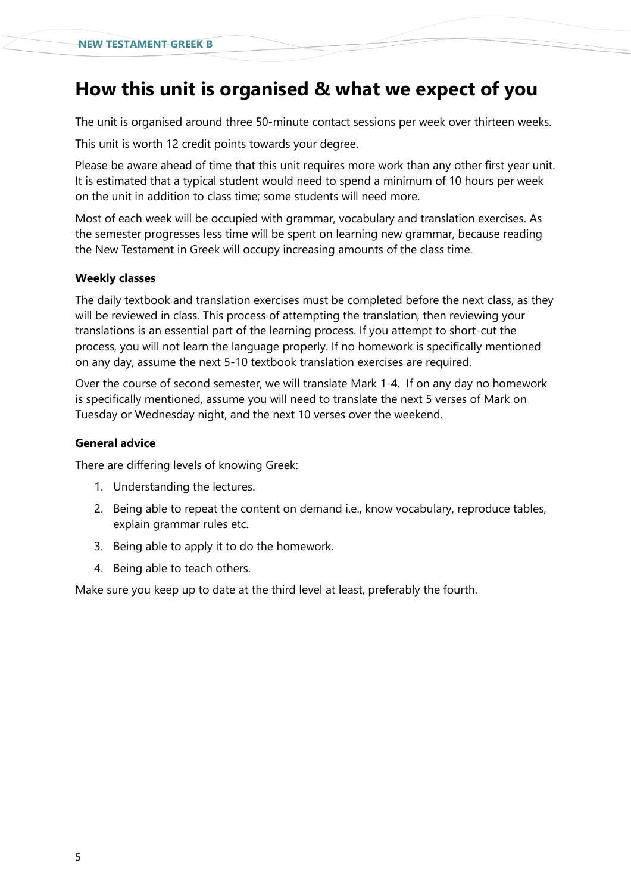### **How this unit is organised & what we expect of you**

The unit is organised around three 50-minute contact sessions per week over thirteen weeks.

This unit is worth 12 credit points towards your degree.

Please be aware ahead of time that this unit requires more work than any other first year unit. It is estimated that a typical student would need to spend a minimum of 10 hours per week on the unit in addition to class time; some students will need more.

Most of each week will be occupied with grammar, vocabulary and translation exercises. As the semester progresses less time will be spent on learning new grammar, because reading the New Testament in Greek will occupy increasing amounts of the class time.

#### **Weekly classes**

The daily textbook and translation exercises must be completed before the next class, as they will be reviewed in class. This process of attempting the translation, then reviewing your translations is an essential part of the learning process. If you attempt to short-cut the process, you will not learn the language properly. If no homework is specifically mentioned on any day, assume the next 5-10 textbook translation exercises are required.

Over the course of second semester, we will translate Mark 1-4. If on any day no homework is specifically mentioned, assume you will need to translate the next 5 verses of Mark on Tuesday or Wednesday night, and the next 10 verses over the weekend.

#### **General advice**

There are differing levels of knowing Greek:

- 1. Understanding the lectures.
- 2. Being able to repeat the content on demand i.e., know vocabulary, reproduce tables, explain grammar rules etc.
- 3. Being able to apply it to do the homework.
- 4. Being able to teach others.

Make sure you keep up to date at the third level at least, preferably the fourth.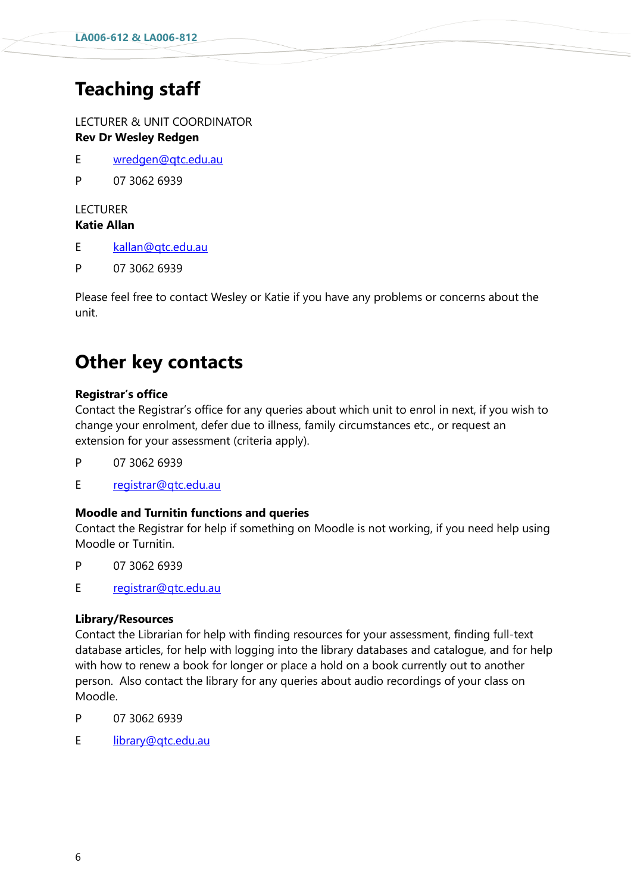# **Teaching staff**

LECTURER & UNIT COORDINATOR **Rev Dr Wesley Redgen**

- E [wredgen@qtc.edu.au](mailto:wredgen@qtc.edu.au)
- P 07 3062 6939

### **LECTURER**

### **Katie Allan**

- E [kallan@qtc.edu.au](mailto:kallan@qtc.edu.au)
- P 07 3062 6939

Please feel free to contact Wesley or Katie if you have any problems or concerns about the unit.

### **Other key contacts**

### **Registrar's office**

Contact the Registrar's office for any queries about which unit to enrol in next, if you wish to change your enrolment, defer due to illness, family circumstances etc., or request an extension for your assessment (criteria apply).

- P 07 3062 6939
- E [registrar@qtc.edu.au](mailto:registrar@qtc.edu.au)

### **Moodle and Turnitin functions and queries**

Contact the Registrar for help if something on Moodle is not working, if you need help using Moodle or Turnitin.

- P 07 3062 6939
- E [registrar@qtc.edu.au](mailto:registrar@qtc.edu.au)

### **Library/Resources**

Contact the Librarian for help with finding resources for your assessment, finding full-text database articles, for help with logging into the library databases and catalogue, and for help with how to renew a book for longer or place a hold on a book currently out to another person. Also contact the library for any queries about audio recordings of your class on Moodle.

- P 07 3062 6939
- E [library@qtc.edu.au](mailto:library@qtc.edu.au)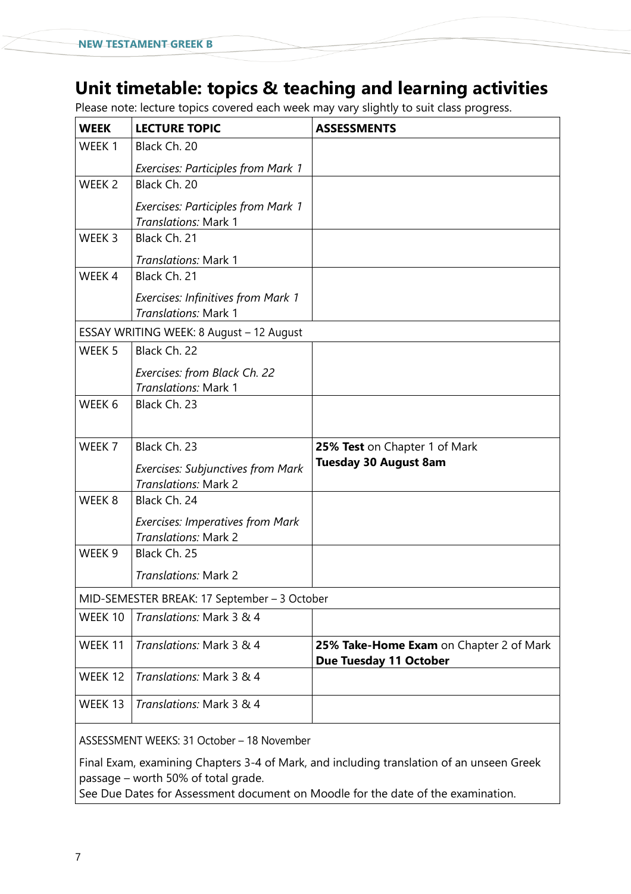# **Unit timetable: topics & teaching and learning activities**

Please note: lecture topics covered each week may vary slightly to suit class progress.

| <b>WEEK</b>                                  | <b>LECTURE TOPIC</b>                                              | <b>ASSESSMENTS</b>                                                       |  |  |
|----------------------------------------------|-------------------------------------------------------------------|--------------------------------------------------------------------------|--|--|
| WEEK <sub>1</sub>                            | Black Ch. 20                                                      |                                                                          |  |  |
|                                              | <b>Exercises: Participles from Mark 1</b>                         |                                                                          |  |  |
| WEEK <sub>2</sub>                            | Black Ch. 20                                                      |                                                                          |  |  |
|                                              | <b>Exercises: Participles from Mark 1</b><br>Translations: Mark 1 |                                                                          |  |  |
| WEEK 3                                       | Black Ch. 21                                                      |                                                                          |  |  |
|                                              | Translations: Mark 1                                              |                                                                          |  |  |
| WEEK 4                                       | Black Ch. 21                                                      |                                                                          |  |  |
|                                              | <b>Exercises: Infinitives from Mark 1</b><br>Translations: Mark 1 |                                                                          |  |  |
| ESSAY WRITING WEEK: 8 August - 12 August     |                                                                   |                                                                          |  |  |
| WEEK <sub>5</sub>                            | Black Ch. 22                                                      |                                                                          |  |  |
|                                              | Exercises: from Black Ch. 22<br>Translations: Mark 1              |                                                                          |  |  |
| WEEK 6                                       | Black Ch. 23                                                      |                                                                          |  |  |
|                                              |                                                                   |                                                                          |  |  |
| WEEK 7                                       | Black Ch. 23                                                      | 25% Test on Chapter 1 of Mark                                            |  |  |
|                                              | <b>Exercises: Subjunctives from Mark</b><br>Translations: Mark 2  | <b>Tuesday 30 August 8am</b>                                             |  |  |
| WEEK <sub>8</sub>                            | Black Ch. 24                                                      |                                                                          |  |  |
|                                              | <b>Exercises: Imperatives from Mark</b><br>Translations: Mark 2   |                                                                          |  |  |
| WEEK <sub>9</sub>                            | Black Ch. 25                                                      |                                                                          |  |  |
|                                              | <b>Translations: Mark 2</b>                                       |                                                                          |  |  |
| MID-SEMESTER BREAK: 17 September - 3 October |                                                                   |                                                                          |  |  |
| WEEK 10                                      | Translations: Mark 3 & 4                                          |                                                                          |  |  |
| WEEK 11                                      | Translations: Mark 3 & 4                                          | 25% Take-Home Exam on Chapter 2 of Mark<br><b>Due Tuesday 11 October</b> |  |  |
| WEEK 12                                      | Translations: Mark 3 & 4                                          |                                                                          |  |  |
| WEEK 13                                      | Translations: Mark 3 & 4                                          |                                                                          |  |  |
|                                              |                                                                   |                                                                          |  |  |

ASSESSMENT WEEKS: 31 October – 18 November

Final Exam, examining Chapters 3-4 of Mark, and including translation of an unseen Greek passage – worth 50% of total grade.

See Due Dates for Assessment document on Moodle for the date of the examination.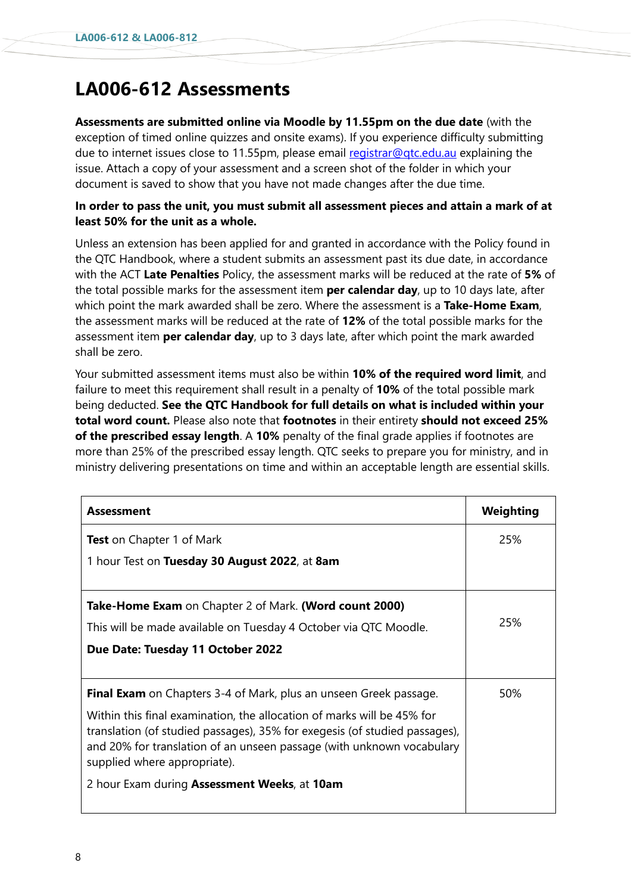# **LA006-612 Assessments**

**Assessments are submitted online via Moodle by 11.55pm on the due date** (with the exception of timed online quizzes and onsite exams). If you experience difficulty submitting due to internet issues close to 11.55pm, please email [registrar@qtc.edu.au](mailto:registrar@qtc.edu.au) explaining the issue. Attach a copy of your assessment and a screen shot of the folder in which your document is saved to show that you have not made changes after the due time.

### **In order to pass the unit, you must submit all assessment pieces and attain a mark of at least 50% for the unit as a whole.**

Unless an extension has been applied for and granted in accordance with the Policy found in the QTC Handbook, where a student submits an assessment past its due date, in accordance with the ACT **Late Penalties** Policy, the assessment marks will be reduced at the rate of **5%** of the total possible marks for the assessment item **per calendar day**, up to 10 days late, after which point the mark awarded shall be zero. Where the assessment is a **Take-Home Exam**, the assessment marks will be reduced at the rate of **12%** of the total possible marks for the assessment item **per calendar day**, up to 3 days late, after which point the mark awarded shall be zero.

Your submitted assessment items must also be within **10% of the required word limit**, and failure to meet this requirement shall result in a penalty of **10%** of the total possible mark being deducted. **See the QTC Handbook for full details on what is included within your total word count.** Please also note that **footnotes** in their entirety **should not exceed 25% of the prescribed essay length**. A **10%** penalty of the final grade applies if footnotes are more than 25% of the prescribed essay length. QTC seeks to prepare you for ministry, and in ministry delivering presentations on time and within an acceptable length are essential skills.

| <b>Assessment</b>                                                                                                                                                                                                                                             | Weighting |
|---------------------------------------------------------------------------------------------------------------------------------------------------------------------------------------------------------------------------------------------------------------|-----------|
| <b>Test</b> on Chapter 1 of Mark                                                                                                                                                                                                                              | 25%       |
| 1 hour Test on Tuesday 30 August 2022, at 8am                                                                                                                                                                                                                 |           |
|                                                                                                                                                                                                                                                               |           |
| Take-Home Exam on Chapter 2 of Mark. (Word count 2000)                                                                                                                                                                                                        |           |
| This will be made available on Tuesday 4 October via QTC Moodle.                                                                                                                                                                                              | 25%       |
| Due Date: Tuesday 11 October 2022                                                                                                                                                                                                                             |           |
|                                                                                                                                                                                                                                                               |           |
| <b>Final Exam</b> on Chapters 3-4 of Mark, plus an unseen Greek passage.                                                                                                                                                                                      | 50%       |
| Within this final examination, the allocation of marks will be 45% for<br>translation (of studied passages), 35% for exegesis (of studied passages),<br>and 20% for translation of an unseen passage (with unknown vocabulary<br>supplied where appropriate). |           |
| 2 hour Exam during Assessment Weeks, at 10am                                                                                                                                                                                                                  |           |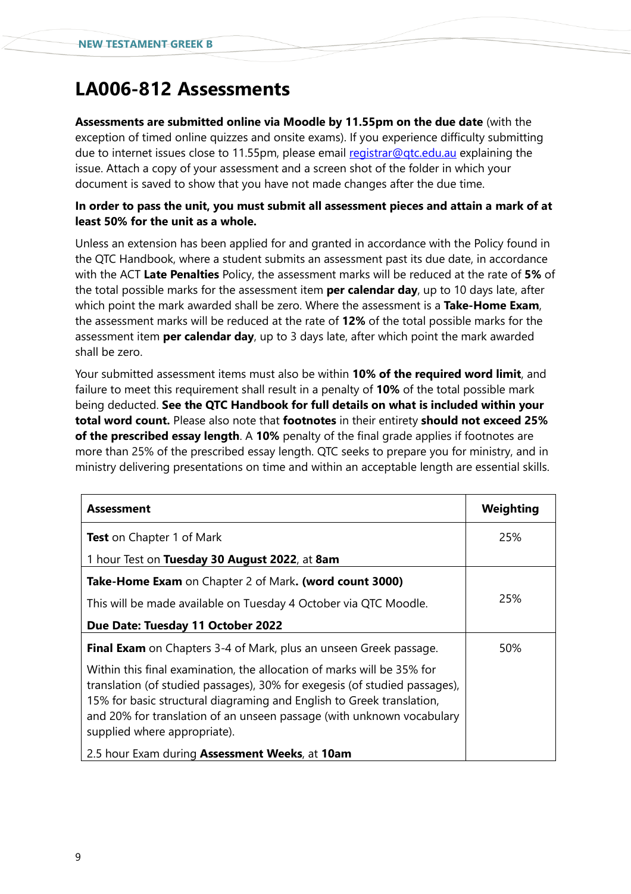# **LA006-812 Assessments**

**Assessments are submitted online via Moodle by 11.55pm on the due date** (with the exception of timed online quizzes and onsite exams). If you experience difficulty submitting due to internet issues close to 11.55pm, please email [registrar@qtc.edu.au](mailto:registrar@qtc.edu.au) explaining the issue. Attach a copy of your assessment and a screen shot of the folder in which your document is saved to show that you have not made changes after the due time.

### **In order to pass the unit, you must submit all assessment pieces and attain a mark of at least 50% for the unit as a whole.**

Unless an extension has been applied for and granted in accordance with the Policy found in the QTC Handbook, where a student submits an assessment past its due date, in accordance with the ACT **Late Penalties** Policy, the assessment marks will be reduced at the rate of **5%** of the total possible marks for the assessment item **per calendar day**, up to 10 days late, after which point the mark awarded shall be zero. Where the assessment is a **Take-Home Exam**, the assessment marks will be reduced at the rate of **12%** of the total possible marks for the assessment item **per calendar day**, up to 3 days late, after which point the mark awarded shall be zero.

Your submitted assessment items must also be within **10% of the required word limit**, and failure to meet this requirement shall result in a penalty of **10%** of the total possible mark being deducted. **See the QTC Handbook for full details on what is included within your total word count.** Please also note that **footnotes** in their entirety **should not exceed 25% of the prescribed essay length**. A **10%** penalty of the final grade applies if footnotes are more than 25% of the prescribed essay length. QTC seeks to prepare you for ministry, and in ministry delivering presentations on time and within an acceptable length are essential skills.

| Assessment                                                                                                                                                                                                                                                                                                                             | Weighting |
|----------------------------------------------------------------------------------------------------------------------------------------------------------------------------------------------------------------------------------------------------------------------------------------------------------------------------------------|-----------|
| <b>Test</b> on Chapter 1 of Mark                                                                                                                                                                                                                                                                                                       | 25%       |
| 1 hour Test on Tuesday 30 August 2022, at 8am                                                                                                                                                                                                                                                                                          |           |
| <b>Take-Home Exam</b> on Chapter 2 of Mark. (word count 3000)                                                                                                                                                                                                                                                                          |           |
| This will be made available on Tuesday 4 October via QTC Moodle.                                                                                                                                                                                                                                                                       | 25%       |
| Due Date: Tuesday 11 October 2022                                                                                                                                                                                                                                                                                                      |           |
| Final Exam on Chapters 3-4 of Mark, plus an unseen Greek passage.                                                                                                                                                                                                                                                                      | 50%       |
| Within this final examination, the allocation of marks will be 35% for<br>translation (of studied passages), 30% for exegesis (of studied passages),<br>15% for basic structural diagraming and English to Greek translation,<br>and 20% for translation of an unseen passage (with unknown vocabulary<br>supplied where appropriate). |           |
| 2.5 hour Exam during Assessment Weeks, at 10am                                                                                                                                                                                                                                                                                         |           |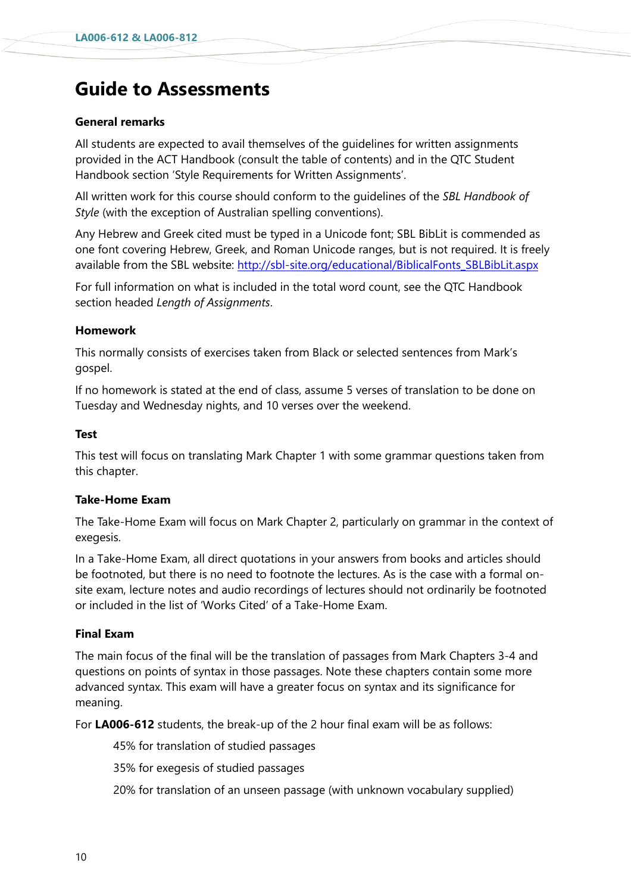# **Guide to Assessments**

### **General remarks**

All students are expected to avail themselves of the guidelines for written assignments provided in the ACT Handbook (consult the table of contents) and in the QTC Student Handbook section 'Style Requirements for Written Assignments'.

All written work for this course should conform to the guidelines of the *SBL Handbook of Style* (with the exception of Australian spelling conventions).

Any Hebrew and Greek cited must be typed in a Unicode font; SBL BibLit is commended as one font covering Hebrew, Greek, and Roman Unicode ranges, but is not required. It is freely available from the SBL website: [http://sbl-site.org/educational/BiblicalFonts\\_SBLBibLit.aspx](http://sbl-site.org/educational/BiblicalFonts_SBLBibLit.aspx)

For full information on what is included in the total word count, see the QTC Handbook section headed *Length of Assignments*.

### **Homework**

This normally consists of exercises taken from Black or selected sentences from Mark's gospel.

If no homework is stated at the end of class, assume 5 verses of translation to be done on Tuesday and Wednesday nights, and 10 verses over the weekend.

### **Test**

This test will focus on translating Mark Chapter 1 with some grammar questions taken from this chapter.

### **Take-Home Exam**

The Take-Home Exam will focus on Mark Chapter 2, particularly on grammar in the context of exegesis.

In a Take-Home Exam, all direct quotations in your answers from books and articles should be footnoted, but there is no need to footnote the lectures. As is the case with a formal onsite exam, lecture notes and audio recordings of lectures should not ordinarily be footnoted or included in the list of 'Works Cited' of a Take-Home Exam.

### **Final Exam**

The main focus of the final will be the translation of passages from Mark Chapters 3-4 and questions on points of syntax in those passages. Note these chapters contain some more advanced syntax. This exam will have a greater focus on syntax and its significance for meaning.

For **LA006-612** students, the break-up of the 2 hour final exam will be as follows:

45% for translation of studied passages

35% for exegesis of studied passages

20% for translation of an unseen passage (with unknown vocabulary supplied)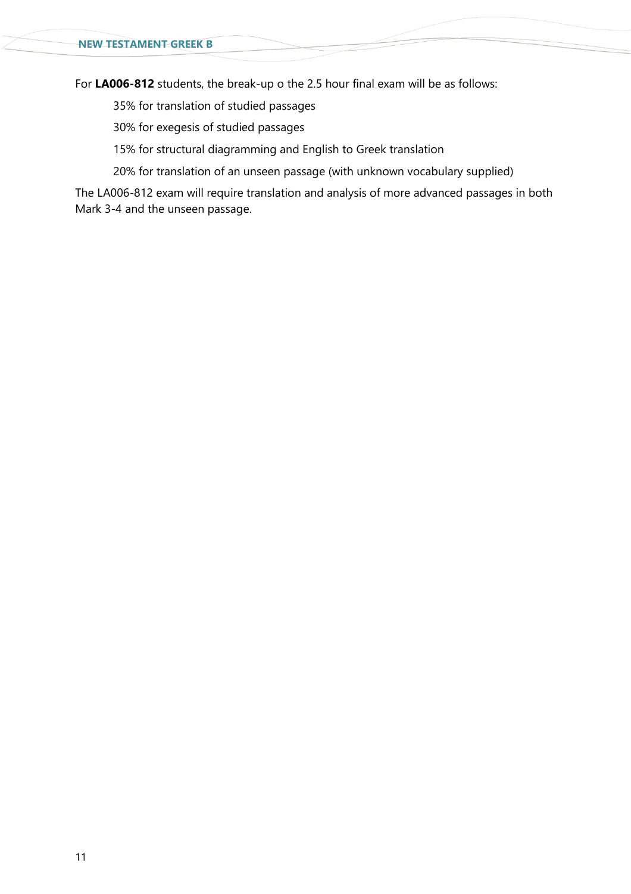For **LA006-812** students, the break-up o the 2.5 hour final exam will be as follows:

35% for translation of studied passages

30% for exegesis of studied passages

15% for structural diagramming and English to Greek translation

20% for translation of an unseen passage (with unknown vocabulary supplied)

The LA006-812 exam will require translation and analysis of more advanced passages in both Mark 3-4 and the unseen passage.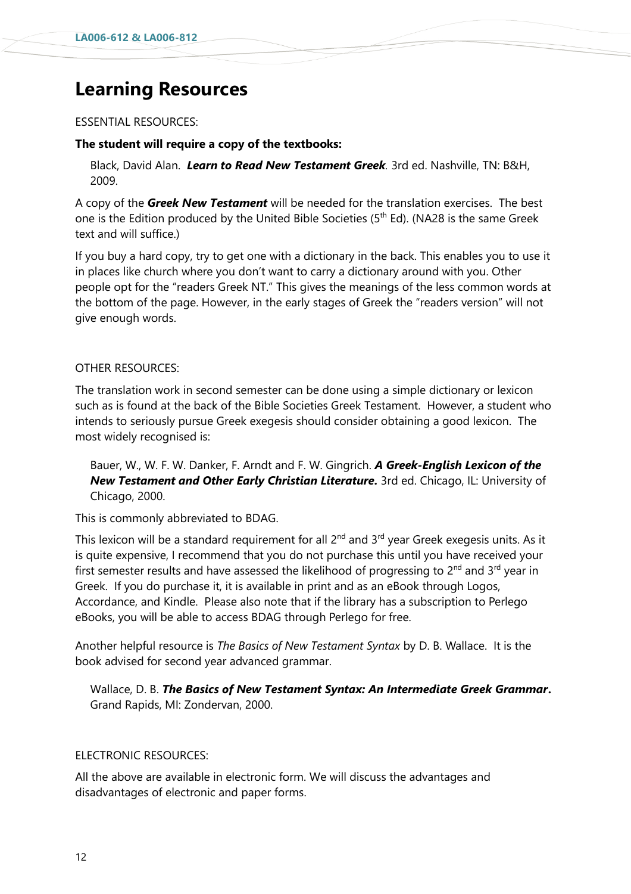# **Learning Resources**

#### ESSENTIAL RESOURCES:

#### **The student will require a copy of the textbooks:**

Black, David Alan. *Learn to Read New Testament Greek.* 3rd ed. Nashville, TN: B&H, 2009.

A copy of the *Greek New Testament* will be needed for the translation exercises. The best one is the Edition produced by the United Bible Societies (5<sup>th</sup> Ed). (NA28 is the same Greek text and will suffice.)

If you buy a hard copy, try to get one with a dictionary in the back. This enables you to use it in places like church where you don't want to carry a dictionary around with you. Other people opt for the "readers Greek NT." This gives the meanings of the less common words at the bottom of the page. However, in the early stages of Greek the "readers version" will not give enough words.

#### OTHER RESOURCES:

The translation work in second semester can be done using a simple dictionary or lexicon such as is found at the back of the Bible Societies Greek Testament. However, a student who intends to seriously pursue Greek exegesis should consider obtaining a good lexicon. The most widely recognised is:

Bauer, W., W. F. W. Danker, F. Arndt and F. W. Gingrich. *A Greek-English Lexicon of the New Testament and Other Early Christian Literature.* 3rd ed. Chicago, IL: University of Chicago, 2000.

This is commonly abbreviated to BDAG.

This lexicon will be a standard requirement for all 2<sup>nd</sup> and 3<sup>rd</sup> year Greek exegesis units. As it is quite expensive, I recommend that you do not purchase this until you have received your first semester results and have assessed the likelihood of progressing to  $2^{nd}$  and  $3^{rd}$  year in Greek. If you do purchase it, it is available in print and as an eBook through Logos, Accordance, and Kindle. Please also note that if the library has a subscription to Perlego eBooks, you will be able to access BDAG through Perlego for free.

Another helpful resource is *The Basics of New Testament Syntax* by D. B. Wallace. It is the book advised for second year advanced grammar.

Wallace, D. B. *The Basics of New Testament Syntax: An Intermediate Greek Grammar***.** Grand Rapids, MI: Zondervan, 2000.

### ELECTRONIC RESOURCES:

All the above are available in electronic form. We will discuss the advantages and disadvantages of electronic and paper forms.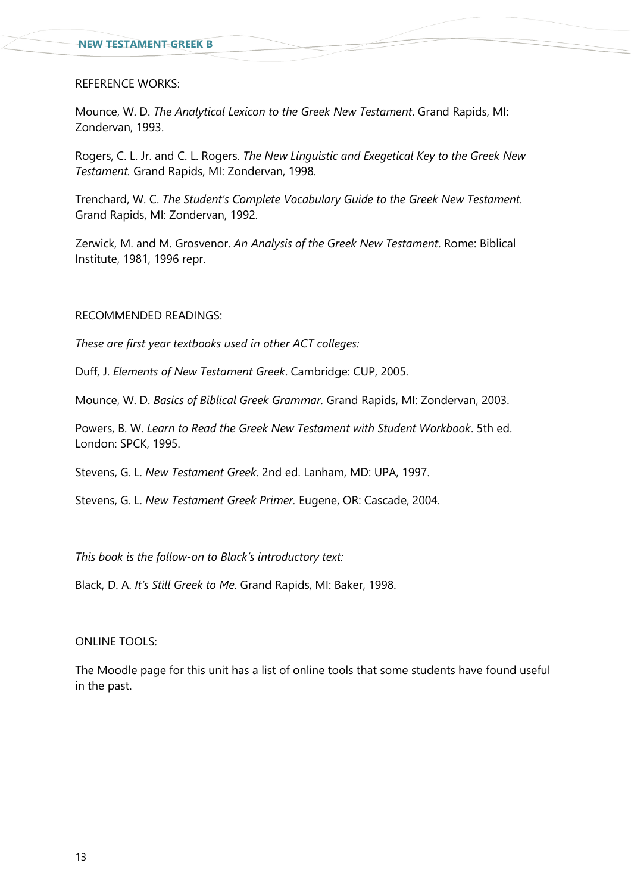#### REFERENCE WORKS:

Mounce, W. D. *The Analytical Lexicon to the Greek New Testament*. Grand Rapids, MI: Zondervan, 1993.

Rogers, C. L. Jr. and C. L. Rogers. *The New Linguistic and Exegetical Key to the Greek New Testament.* Grand Rapids, MI: Zondervan, 1998.

Trenchard, W. C. *The Student's Complete Vocabulary Guide to the Greek New Testament.* Grand Rapids, MI: Zondervan, 1992.

Zerwick, M. and M. Grosvenor. *An Analysis of the Greek New Testament*. Rome: Biblical Institute, 1981, 1996 repr.

#### RECOMMENDED READINGS:

*These are first year textbooks used in other ACT colleges:*

Duff, J. *Elements of New Testament Greek*. Cambridge: CUP, 2005.

Mounce, W. D. *Basics of Biblical Greek Grammar.* Grand Rapids, MI: Zondervan, 2003.

Powers, B. W. *Learn to Read the Greek New Testament with Student Workbook*. 5th ed. London: SPCK, 1995.

Stevens, G. L. *New Testament Greek*. 2nd ed. Lanham, MD: UPA, 1997.

Stevens, G. L. *New Testament Greek Primer.* Eugene, OR: Cascade, 2004.

*This book is the follow-on to Black's introductory text:* 

Black, D. A. *It's Still Greek to Me.* Grand Rapids, MI: Baker, 1998.

#### ONLINE TOOLS:

The Moodle page for this unit has a list of online tools that some students have found useful in the past.